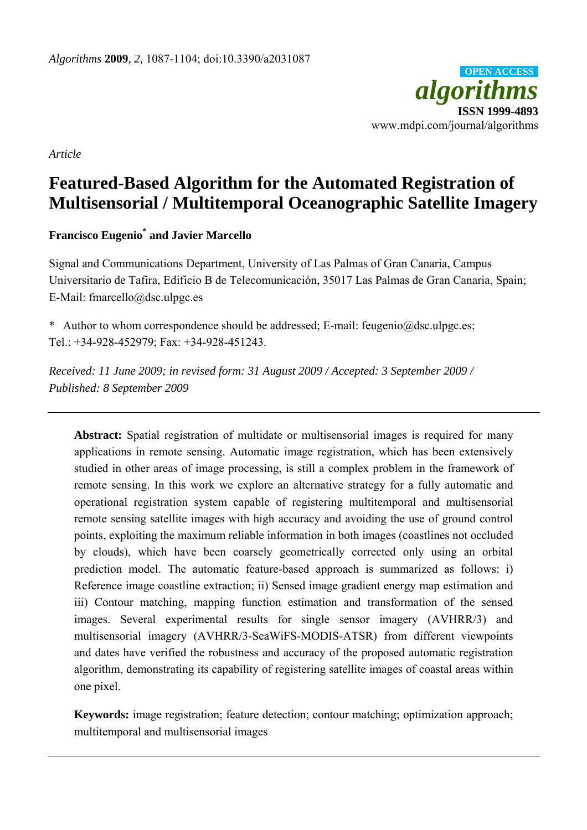

*Article* 

# **Featured-Based Algorithm for the Automated Registration of Multisensorial / Multitemporal Oceanographic Satellite Imagery**

# **Francisco Eugenio\* and Javier Marcello**

Signal and Communications Department, University of Las Palmas of Gran Canaria, Campus Universitario de Tafira, Edificio B de Telecomunicación, 35017 Las Palmas de Gran Canaria, Spain; E-Mail: fmarcello@dsc.ulpgc.es

\* Author to whom correspondence should be addressed; E-mail: feugenio@dsc.ulpgc.es; Tel.: +34-928-452979; Fax: +34-928-451243.

*Received: 11 June 2009; in revised form: 31 August 2009 / Accepted: 3 September 2009 / Published: 8 September 2009* 

Abstract: Spatial registration of multidate or multisensorial images is required for many applications in remote sensing. Automatic image registration, which has been extensively studied in other areas of image processing, is still a complex problem in the framework of remote sensing. In this work we explore an alternative strategy for a fully automatic and operational registration system capable of registering multitemporal and multisensorial remote sensing satellite images with high accuracy and avoiding the use of ground control points, exploiting the maximum reliable information in both images (coastlines not occluded by clouds), which have been coarsely geometrically corrected only using an orbital prediction model. The automatic feature-based approach is summarized as follows: i) Reference image coastline extraction; ii) Sensed image gradient energy map estimation and iii) Contour matching, mapping function estimation and transformation of the sensed images. Several experimental results for single sensor imagery (AVHRR/3) and multisensorial imagery (AVHRR/3-SeaWiFS-MODIS-ATSR) from different viewpoints and dates have verified the robustness and accuracy of the proposed automatic registration algorithm, demonstrating its capability of registering satellite images of coastal areas within one pixel.

**Keywords:** image registration; feature detection; contour matching; optimization approach; multitemporal and multisensorial images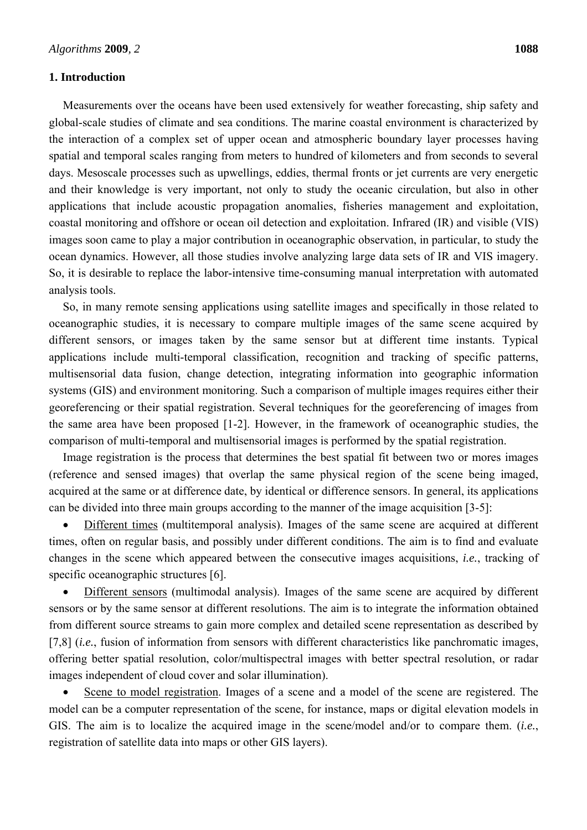#### **1. Introduction**

Measurements over the oceans have been used extensively for weather forecasting, ship safety and global-scale studies of climate and sea conditions. The marine coastal environment is characterized by the interaction of a complex set of upper ocean and atmospheric boundary layer processes having spatial and temporal scales ranging from meters to hundred of kilometers and from seconds to several days. Mesoscale processes such as upwellings, eddies, thermal fronts or jet currents are very energetic and their knowledge is very important, not only to study the oceanic circulation, but also in other applications that include acoustic propagation anomalies, fisheries management and exploitation, coastal monitoring and offshore or ocean oil detection and exploitation. Infrared (IR) and visible (VIS) images soon came to play a major contribution in oceanographic observation, in particular, to study the ocean dynamics. However, all those studies involve analyzing large data sets of IR and VIS imagery. So, it is desirable to replace the labor-intensive time-consuming manual interpretation with automated analysis tools.

So, in many remote sensing applications using satellite images and specifically in those related to oceanographic studies, it is necessary to compare multiple images of the same scene acquired by different sensors, or images taken by the same sensor but at different time instants. Typical applications include multi-temporal classification, recognition and tracking of specific patterns, multisensorial data fusion, change detection, integrating information into geographic information systems (GIS) and environment monitoring. Such a comparison of multiple images requires either their georeferencing or their spatial registration. Several techniques for the georeferencing of images from the same area have been proposed [1-2]. However, in the framework of oceanographic studies, the comparison of multi-temporal and multisensorial images is performed by the spatial registration.

Image registration is the process that determines the best spatial fit between two or mores images (reference and sensed images) that overlap the same physical region of the scene being imaged, acquired at the same or at difference date, by identical or difference sensors. In general, its applications can be divided into three main groups according to the manner of the image acquisition [3-5]:

 Different times (multitemporal analysis). Images of the same scene are acquired at different times, often on regular basis, and possibly under different conditions. The aim is to find and evaluate changes in the scene which appeared between the consecutive images acquisitions, *i.e.*, tracking of specific oceanographic structures [6].

 Different sensors (multimodal analysis). Images of the same scene are acquired by different sensors or by the same sensor at different resolutions. The aim is to integrate the information obtained from different source streams to gain more complex and detailed scene representation as described by [7,8] *(i.e.*, fusion of information from sensors with different characteristics like panchromatic images, offering better spatial resolution, color/multispectral images with better spectral resolution, or radar images independent of cloud cover and solar illumination).

 Scene to model registration. Images of a scene and a model of the scene are registered. The model can be a computer representation of the scene, for instance, maps or digital elevation models in GIS. The aim is to localize the acquired image in the scene/model and/or to compare them. (*i.e.*, registration of satellite data into maps or other GIS layers).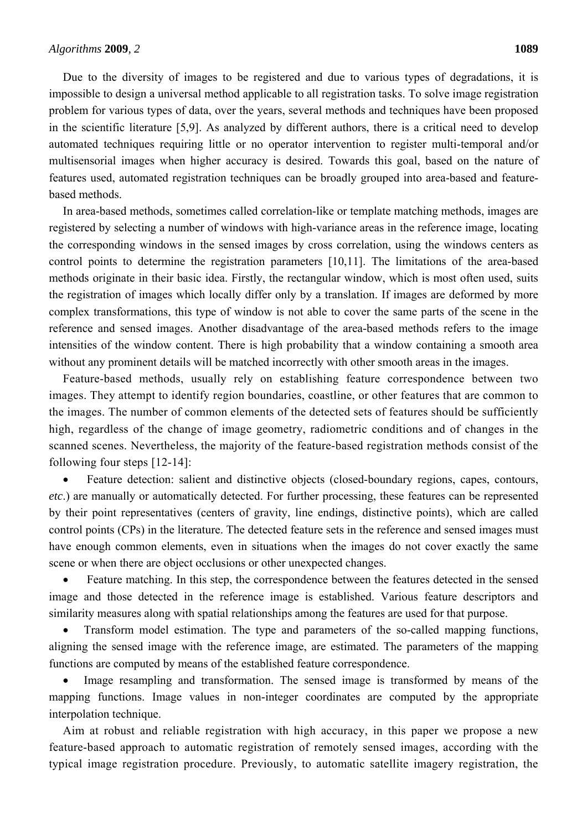Due to the diversity of images to be registered and due to various types of degradations, it is impossible to design a universal method applicable to all registration tasks. To solve image registration problem for various types of data, over the years, several methods and techniques have been proposed in the scientific literature [5,9]. As analyzed by different authors, there is a critical need to develop automated techniques requiring little or no operator intervention to register multi-temporal and/or multisensorial images when higher accuracy is desired. Towards this goal, based on the nature of features used, automated registration techniques can be broadly grouped into area-based and featurebased methods.

In area-based methods, sometimes called correlation-like or template matching methods, images are registered by selecting a number of windows with high-variance areas in the reference image, locating the corresponding windows in the sensed images by cross correlation, using the windows centers as control points to determine the registration parameters [10,11]. The limitations of the area-based methods originate in their basic idea. Firstly, the rectangular window, which is most often used, suits the registration of images which locally differ only by a translation. If images are deformed by more complex transformations, this type of window is not able to cover the same parts of the scene in the reference and sensed images. Another disadvantage of the area-based methods refers to the image intensities of the window content. There is high probability that a window containing a smooth area without any prominent details will be matched incorrectly with other smooth areas in the images.

Feature-based methods, usually rely on establishing feature correspondence between two images. They attempt to identify region boundaries, coastline, or other features that are common to the images. The number of common elements of the detected sets of features should be sufficiently high, regardless of the change of image geometry, radiometric conditions and of changes in the scanned scenes. Nevertheless, the majority of the feature-based registration methods consist of the following four steps [12-14]:

 Feature detection: salient and distinctive objects (closed-boundary regions, capes, contours, *etc*.) are manually or automatically detected. For further processing, these features can be represented by their point representatives (centers of gravity, line endings, distinctive points), which are called control points (CPs) in the literature. The detected feature sets in the reference and sensed images must have enough common elements, even in situations when the images do not cover exactly the same scene or when there are object occlusions or other unexpected changes.

• Feature matching. In this step, the correspondence between the features detected in the sensed image and those detected in the reference image is established. Various feature descriptors and similarity measures along with spatial relationships among the features are used for that purpose.

 Transform model estimation. The type and parameters of the so-called mapping functions, aligning the sensed image with the reference image, are estimated. The parameters of the mapping functions are computed by means of the established feature correspondence.

• Image resampling and transformation. The sensed image is transformed by means of the mapping functions. Image values in non-integer coordinates are computed by the appropriate interpolation technique.

Aim at robust and reliable registration with high accuracy, in this paper we propose a new feature-based approach to automatic registration of remotely sensed images, according with the typical image registration procedure. Previously, to automatic satellite imagery registration, the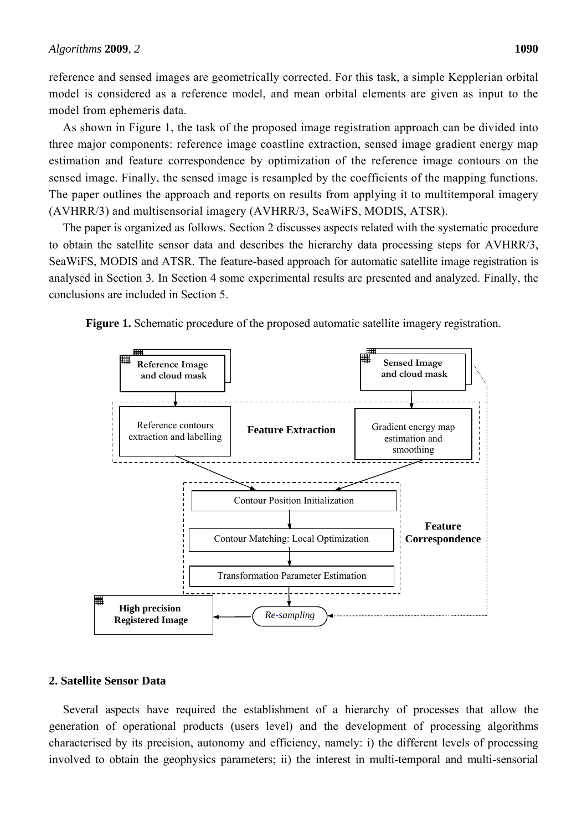reference and sensed images are geometrically corrected. For this task, a simple Kepplerian orbital model is considered as a reference model, and mean orbital elements are given as input to the model from ephemeris data.

As shown in Figure 1, the task of the proposed image registration approach can be divided into three major components: reference image coastline extraction, sensed image gradient energy map estimation and feature correspondence by optimization of the reference image contours on the sensed image. Finally, the sensed image is resampled by the coefficients of the mapping functions. The paper outlines the approach and reports on results from applying it to multitemporal imagery (AVHRR/3) and multisensorial imagery (AVHRR/3, SeaWiFS, MODIS, ATSR).

The paper is organized as follows. Section 2 discusses aspects related with the systematic procedure to obtain the satellite sensor data and describes the hierarchy data processing steps for AVHRR/3, SeaWiFS, MODIS and ATSR. The feature-based approach for automatic satellite image registration is analysed in Section 3. In Section 4 some experimental results are presented and analyzed. Finally, the conclusions are included in Section 5.





#### **2. Satellite Sensor Data**

Several aspects have required the establishment of a hierarchy of processes that allow the generation of operational products (users level) and the development of processing algorithms characterised by its precision, autonomy and efficiency, namely: i) the different levels of processing involved to obtain the geophysics parameters; ii) the interest in multi-temporal and multi-sensorial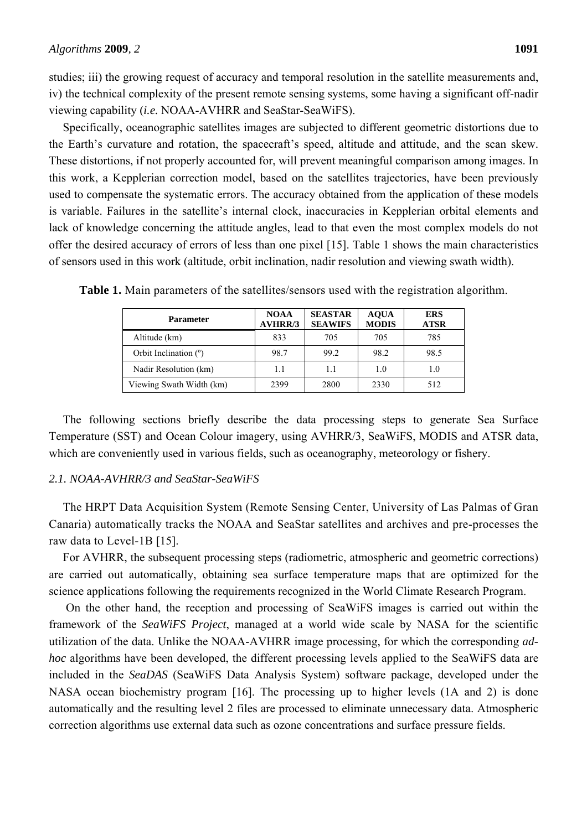studies; iii) the growing request of accuracy and temporal resolution in the satellite measurements and, iv) the technical complexity of the present remote sensing systems, some having a significant off-nadir viewing capability (*i.e.* NOAA-AVHRR and SeaStar-SeaWiFS).

Specifically, oceanographic satellites images are subjected to different geometric distortions due to the Earth's curvature and rotation, the spacecraft's speed, altitude and attitude, and the scan skew. These distortions, if not properly accounted for, will prevent meaningful comparison among images. In this work, a Kepplerian correction model, based on the satellites trajectories, have been previously used to compensate the systematic errors. The accuracy obtained from the application of these models is variable. Failures in the satellite's internal clock, inaccuracies in Kepplerian orbital elements and lack of knowledge concerning the attitude angles, lead to that even the most complex models do not offer the desired accuracy of errors of less than one pixel [15]. Table 1 shows the main characteristics of sensors used in this work (altitude, orbit inclination, nadir resolution and viewing swath width).

| <b>Parameter</b>         | <b>NOAA</b><br><b>AVHRR/3</b> | <b>SEASTAR</b><br><b>SEAWIFS</b> | <b>AQUA</b><br><b>MODIS</b> | <b>ERS</b><br><b>ATSR</b> |
|--------------------------|-------------------------------|----------------------------------|-----------------------------|---------------------------|
| Altitude (km)            | 833                           | 705                              | 705                         | 785                       |
| Orbit Inclination $(°)$  | 98.7                          | 99.2                             | 98.2                        | 98.5                      |
| Nadir Resolution (km)    | 1.1                           | 1.1                              | 1.0                         | 1.0                       |
| Viewing Swath Width (km) | 2399                          | 2800                             | 2330                        | 512                       |

**Table 1.** Main parameters of the satellites/sensors used with the registration algorithm.

The following sections briefly describe the data processing steps to generate Sea Surface Temperature (SST) and Ocean Colour imagery, using AVHRR/3, SeaWiFS, MODIS and ATSR data, which are conveniently used in various fields, such as oceanography, meteorology or fishery.

#### *2.1. NOAA-AVHRR/3 and SeaStar-SeaWiFS*

The HRPT Data Acquisition System (Remote Sensing Center, University of Las Palmas of Gran Canaria) automatically tracks the NOAA and SeaStar satellites and archives and pre-processes the raw data to Level-1B [15].

For AVHRR, the subsequent processing steps (radiometric, atmospheric and geometric corrections) are carried out automatically, obtaining sea surface temperature maps that are optimized for the science applications following the requirements recognized in the World Climate Research Program.

 On the other hand, the reception and processing of SeaWiFS images is carried out within the framework of the *SeaWiFS Project*, managed at a world wide scale by NASA for the scientific utilization of the data. Unlike the NOAA-AVHRR image processing, for which the corresponding *adhoc* algorithms have been developed, the different processing levels applied to the SeaWiFS data are included in the *SeaDAS* (SeaWiFS Data Analysis System) software package, developed under the NASA ocean biochemistry program [16]. The processing up to higher levels (1A and 2) is done automatically and the resulting level 2 files are processed to eliminate unnecessary data. Atmospheric correction algorithms use external data such as ozone concentrations and surface pressure fields.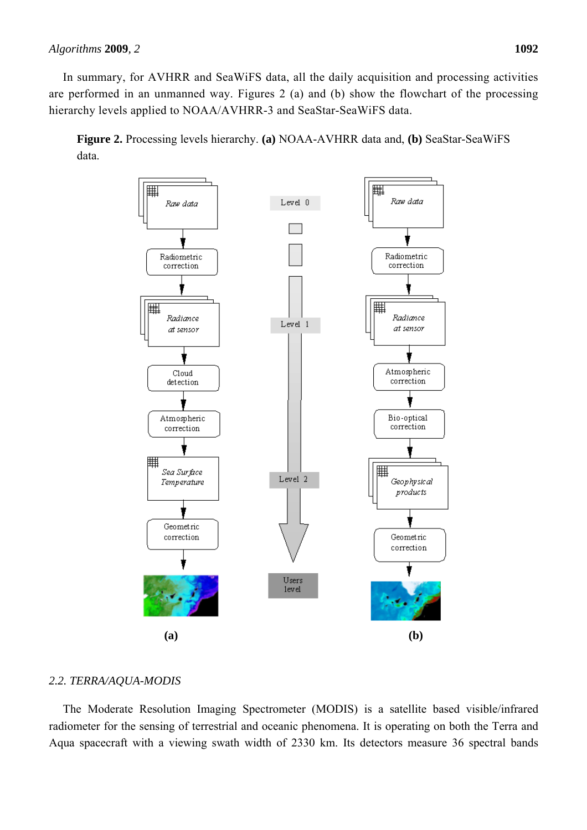In summary, for AVHRR and SeaWiFS data, all the daily acquisition and processing activities are performed in an unmanned way. Figures 2 (a) and (b) show the flowchart of the processing hierarchy levels applied to NOAA/AVHRR-3 and SeaStar-SeaWiFS data.

**Figure 2.** Processing levels hierarchy. **(a)** NOAA-AVHRR data and, **(b)** SeaStar-SeaWiFS data.



# *2.2. TERRA/AQUA-MODIS*

The Moderate Resolution Imaging Spectrometer (MODIS) is a satellite based visible/infrared radiometer for the sensing of terrestrial and oceanic phenomena. It is operating on both the Terra and Aqua spacecraft with a viewing swath width of 2330 km. Its detectors measure 36 spectral bands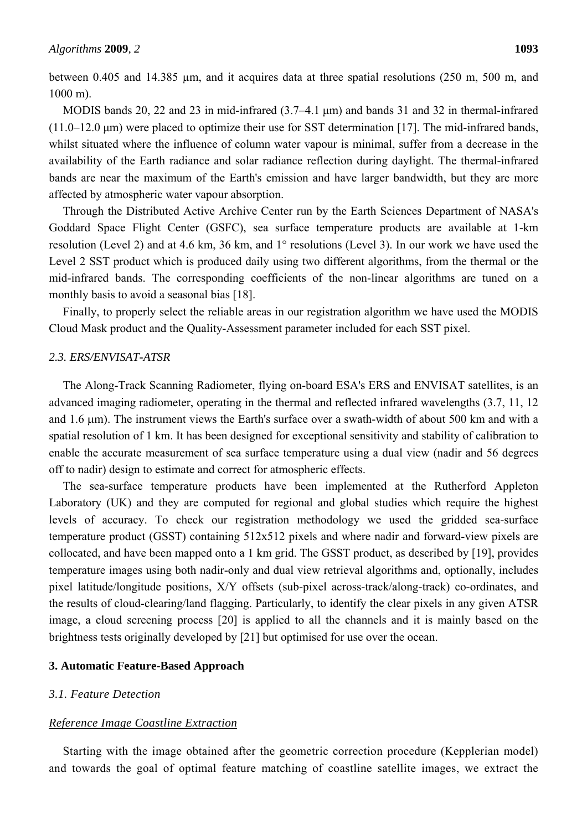between 0.405 and 14.385 µm, and it acquires data at three spatial resolutions (250 m, 500 m, and 1000 m).

MODIS bands 20, 22 and 23 in mid-infrared (3.7–4.1 μm) and bands 31 and 32 in thermal-infrared (11.0–12.0 μm) were placed to optimize their use for SST determination [17]. The mid-infrared bands, whilst situated where the influence of column water vapour is minimal, suffer from a decrease in the availability of the Earth radiance and solar radiance reflection during daylight. The thermal-infrared bands are near the maximum of the Earth's emission and have larger bandwidth, but they are more affected by atmospheric water vapour absorption.

Through the Distributed Active Archive Center run by the Earth Sciences Department of NASA's Goddard Space Flight Center (GSFC), sea surface temperature products are available at 1-km resolution (Level 2) and at 4.6 km, 36 km, and 1° resolutions (Level 3). In our work we have used the Level 2 SST product which is produced daily using two different algorithms, from the thermal or the mid-infrared bands. The corresponding coefficients of the non-linear algorithms are tuned on a monthly basis to avoid a seasonal bias [18].

Finally, to properly select the reliable areas in our registration algorithm we have used the MODIS Cloud Mask product and the Quality-Assessment parameter included for each SST pixel.

#### *2.3. ERS/ENVISAT-ATSR*

The Along-Track Scanning Radiometer, flying on-board ESA's ERS and ENVISAT satellites, is an advanced imaging radiometer, operating in the thermal and reflected infrared wavelengths (3.7, 11, 12 and 1.6 µm). The instrument views the Earth's surface over a swath-width of about 500 km and with a spatial resolution of 1 km. It has been designed for exceptional sensitivity and stability of calibration to enable the accurate measurement of sea surface temperature using a dual view (nadir and 56 degrees off to nadir) design to estimate and correct for atmospheric effects.

The sea-surface temperature products have been implemented at the Rutherford Appleton Laboratory (UK) and they are computed for regional and global studies which require the highest levels of accuracy. To check our registration methodology we used the gridded sea-surface temperature product (GSST) containing 512x512 pixels and where nadir and forward-view pixels are collocated, and have been mapped onto a 1 km grid. The GSST product, as described by [19], provides temperature images using both nadir-only and dual view retrieval algorithms and, optionally, includes pixel latitude/longitude positions, X/Y offsets (sub-pixel across-track/along-track) co-ordinates, and the results of cloud-clearing/land flagging. Particularly, to identify the clear pixels in any given ATSR image, a cloud screening process [20] is applied to all the channels and it is mainly based on the brightness tests originally developed by [21] but optimised for use over the ocean.

#### **3. Automatic Feature-Based Approach**

#### *3.1. Feature Detection*

#### *Reference Image Coastline Extraction*

Starting with the image obtained after the geometric correction procedure (Kepplerian model) and towards the goal of optimal feature matching of coastline satellite images, we extract the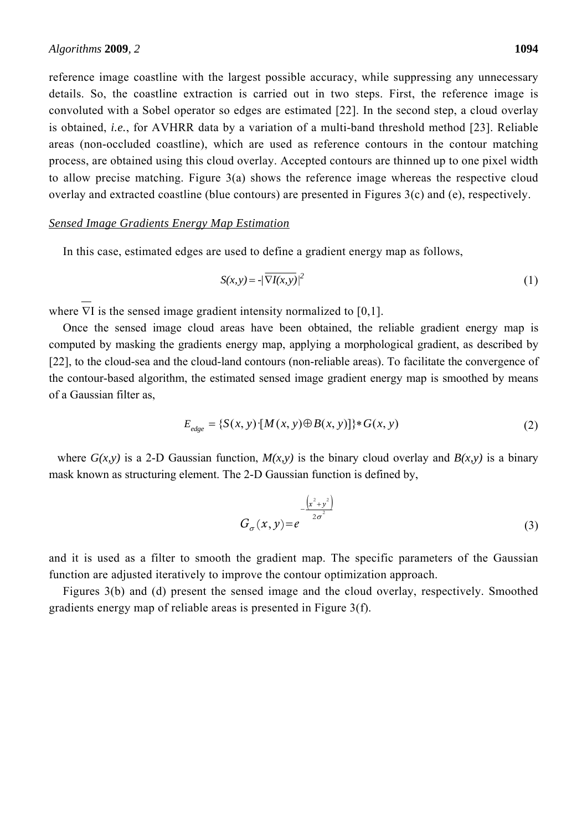reference image coastline with the largest possible accuracy, while suppressing any unnecessary details. So, the coastline extraction is carried out in two steps. First, the reference image is convoluted with a Sobel operator so edges are estimated [22]. In the second step, a cloud overlay is obtained, *i.e.*, for AVHRR data by a variation of a multi-band threshold method [23]. Reliable areas (non-occluded coastline), which are used as reference contours in the contour matching process, are obtained using this cloud overlay. Accepted contours are thinned up to one pixel width to allow precise matching. Figure 3(a) shows the reference image whereas the respective cloud

overlay and extracted coastline (blue contours) are presented in Figures 3(c) and (e), respectively.

#### *Sensed Image Gradients Energy Map Estimation*

In this case, estimated edges are used to define a gradient energy map as follows,

$$
S(x, y) = -\sqrt{\nabla I(x, y)}\big|^2\tag{1}
$$

where  $\nabla I$  is the sensed image gradient intensity normalized to [0,1].

Once the sensed image cloud areas have been obtained, the reliable gradient energy map is computed by masking the gradients energy map, applying a morphological gradient, as described by [22], to the cloud-sea and the cloud-land contours (non-reliable areas). To facilitate the convergence of the contour-based algorithm, the estimated sensed image gradient energy map is smoothed by means of a Gaussian filter as,

$$
E_{edge} = \{S(x, y) \cdot [M(x, y) \oplus B(x, y)]\} * G(x, y)
$$
\n(2)

where  $G(x, y)$  is a 2-D Gaussian function,  $M(x, y)$  is the binary cloud overlay and  $B(x, y)$  is a binary mask known as structuring element. The 2-D Gaussian function is defined by,

$$
G_{\sigma}(x, y) = e^{-\frac{(x^2 + y^2)}{2\sigma^2}}
$$
 (3)

and it is used as a filter to smooth the gradient map. The specific parameters of the Gaussian function are adjusted iteratively to improve the contour optimization approach.

Figures 3(b) and (d) present the sensed image and the cloud overlay, respectively. Smoothed gradients energy map of reliable areas is presented in Figure 3(f).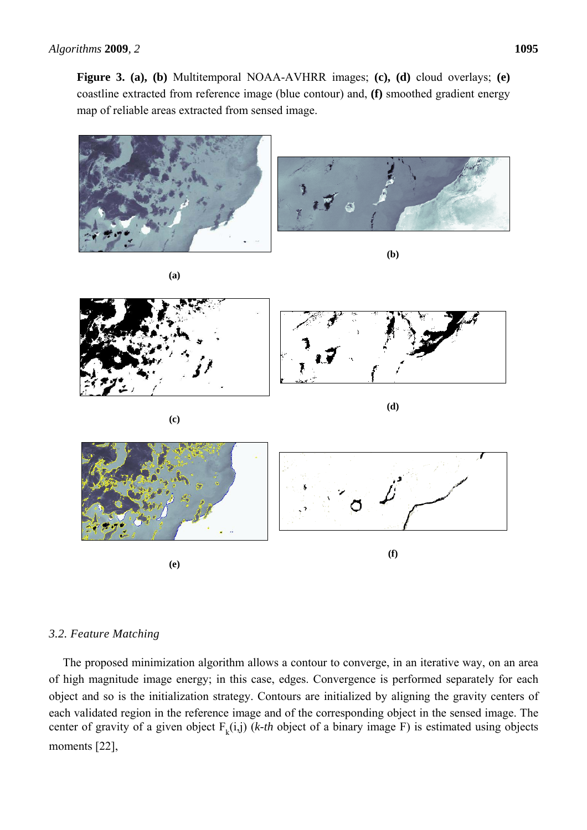**Figure 3. (a), (b)** Multitemporal NOAA-AVHRR images; **(c), (d)** cloud overlays; **(e)** coastline extracted from reference image (blue contour) and, **(f)** smoothed gradient energy map of reliable areas extracted from sensed image.



# *3.2. Feature Matching*

The proposed minimization algorithm allows a contour to converge, in an iterative way, on an area of high magnitude image energy; in this case, edges. Convergence is performed separately for each object and so is the initialization strategy. Contours are initialized by aligning the gravity centers of each validated region in the reference image and of the corresponding object in the sensed image. The center of gravity of a given object  $F_k(i,j)$  (*k-th* object of a binary image F) is estimated using objects moments [22],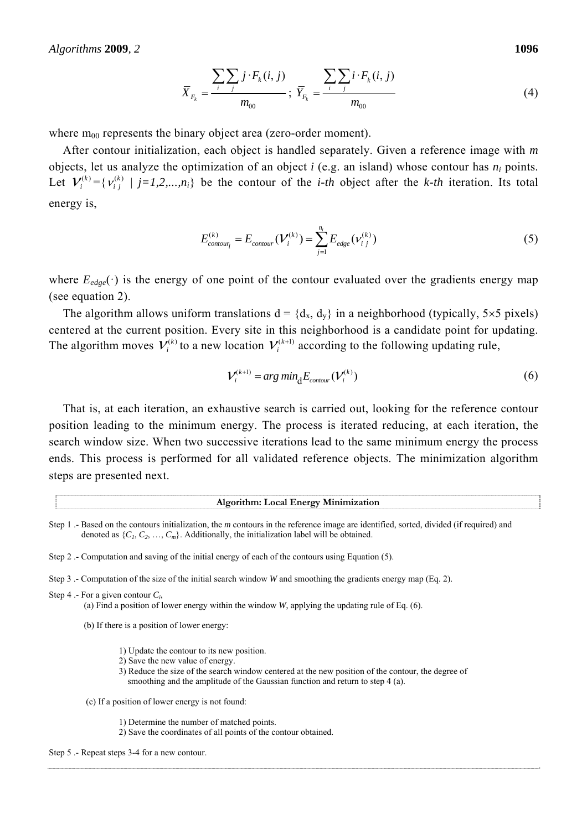*Algorithms* **2009***, 2* **1096**

$$
\overline{X}_{F_k} = \frac{\sum_{i} \sum_{j} j \cdot F_k(i, j)}{m_{00}}; \ \overline{Y}_{F_k} = \frac{\sum_{i} \sum_{j} i \cdot F_k(i, j)}{m_{00}} \tag{4}
$$

where  $m_{00}$  represents the binary object area (zero-order moment).

After contour initialization, each object is handled separately. Given a reference image with *m* objects, let us analyze the optimization of an object  $i$  (e.g. an island) whose contour has  $n_i$  points. Let  $V_i^{(k)} = \{ V_i^{(k)} | j = 1, 2, ..., n_i \}$  be the contour of the *i-th* object after the *k-th* iteration. Its total energy is,

$$
E_{contour_i}^{(k)} = E_{contour}(\mathcal{V}_i^{(k)}) = \sum_{j=1}^{n_i} E_{edge}(\nu_{i\ j}^{(k)})
$$
 (5)

where  $E_{edge}(\cdot)$  is the energy of one point of the contour evaluated over the gradients energy map (see equation 2).

The algorithm allows uniform translations  $d = {d_x, d_y}$  in a neighborhood (typically, 5×5 pixels) centered at the current position. Every site in this neighborhood is a candidate point for updating. The algorithm moves  $V_i^{(k)}$  to a new location  $V_i^{(k+1)}$  according to the following updating rule,

$$
V_i^{(k+1)} = arg min_d E_{contour}(V_i^{(k)})
$$
\n(6)

That is, at each iteration, an exhaustive search is carried out, looking for the reference contour position leading to the minimum energy. The process is iterated reducing, at each iteration, the search window size. When two successive iterations lead to the same minimum energy the process ends. This process is performed for all validated reference objects. The minimization algorithm steps are presented next.

**Algorithm: Local Energy Minimization** 

- Step 3 .- Computation of the size of the initial search window *W* and smoothing the gradients energy map (Eq. 2).
- Step 4 .- For a given contour *Ci*,
	- (a) Find a position of lower energy within the window *W*, applying the updating rule of Eq. (6).
	- (b) If there is a position of lower energy:
		- 1) Update the contour to its new position.
		- 2) Save the new value of energy.
		- 3) Reduce the size of the search window centered at the new position of the contour, the degree of smoothing and the amplitude of the Gaussian function and return to step 4 (a).
	- (c) If a position of lower energy is not found:
		- 1) Determine the number of matched points.
		- 2) Save the coordinates of all points of the contour obtained.

Step 5 .- Repeat steps 3-4 for a new contour.

Step 1 .- Based on the contours initialization, the *m* contours in the reference image are identified, sorted, divided (if required) and denoted as  $\{C_1, C_2, ..., C_m\}$ . Additionally, the initialization label will be obtained.

Step 2 .- Computation and saving of the initial energy of each of the contours using Equation (5).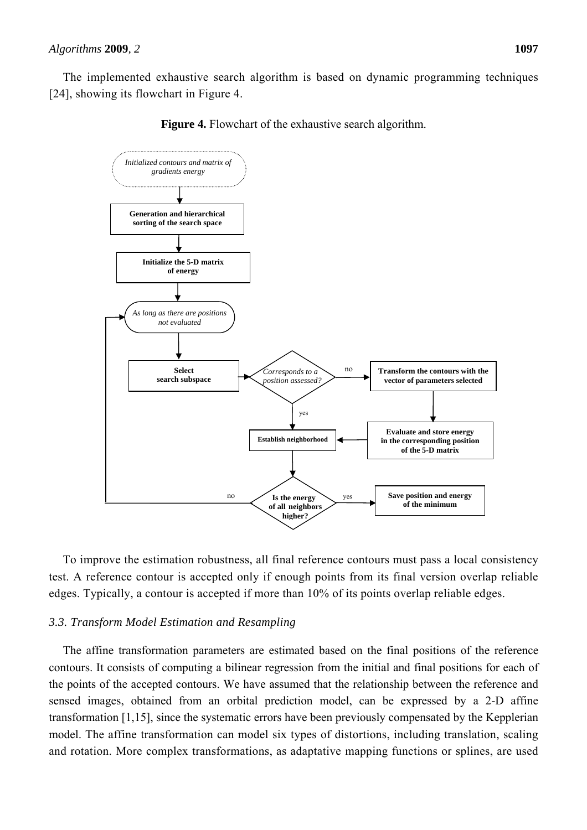The implemented exhaustive search algorithm is based on dynamic programming techniques [24], showing its flowchart in Figure 4.

**Figure 4.** Flowchart of the exhaustive search algorithm.



To improve the estimation robustness, all final reference contours must pass a local consistency test. A reference contour is accepted only if enough points from its final version overlap reliable edges. Typically, a contour is accepted if more than 10% of its points overlap reliable edges.

#### *3.3. Transform Model Estimation and Resampling*

The affine transformation parameters are estimated based on the final positions of the reference contours. It consists of computing a bilinear regression from the initial and final positions for each of the points of the accepted contours. We have assumed that the relationship between the reference and sensed images, obtained from an orbital prediction model, can be expressed by a 2-D affine transformation [1,15], since the systematic errors have been previously compensated by the Kepplerian model. The affine transformation can model six types of distortions, including translation, scaling and rotation. More complex transformations, as adaptative mapping functions or splines, are used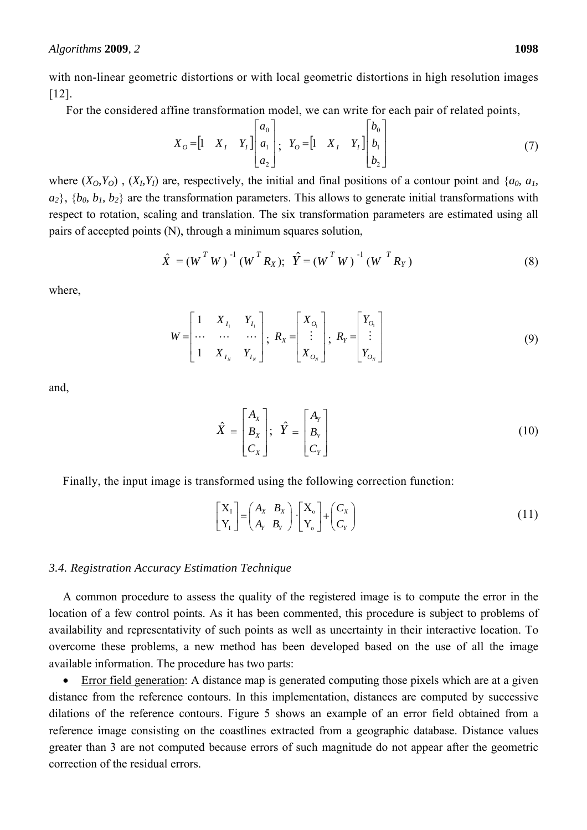with non-linear geometric distortions or with local geometric distortions in high resolution images [12].

For the considered affine transformation model, we can write for each pair of related points,

$$
X_O = \begin{bmatrix} 1 & X_I & Y_I \end{bmatrix} \begin{bmatrix} a_0 \\ a_1 \\ a_2 \end{bmatrix}; \quad Y_O = \begin{bmatrix} 1 & X_I & Y_I \end{bmatrix} \begin{bmatrix} b_0 \\ b_1 \\ b_2 \end{bmatrix}
$$
 (7)

where  $(X_0, Y_0)$ ,  $(X_1, Y_1)$  are, respectively, the initial and final positions of a contour point and  $\{a_0, a_1, a_2, a_3, a_4, a_5, a_6, a_7, a_8, a_9, a_9, a_9, a_1, a_2, a_4, a_5, a_6, a_7, a_8, a_9, a_9, a_1, a_2, a_4, a_6, a_7, a_9, a_1, a_2$  $a_2$ ,  $\{b_0, b_1, b_2\}$  are the transformation parameters. This allows to generate initial transformations with respect to rotation, scaling and translation. The six transformation parameters are estimated using all pairs of accepted points (N), through a minimum squares solution,

$$
\hat{X} = (W^T W)^{-1} (W^T R_X); \ \hat{Y} = (W^T W)^{-1} (W^T R_Y)
$$
\n(8)

where,

$$
W = \begin{bmatrix} 1 & X_{I_1} & Y_{I_1} \\ \cdots & \cdots & \cdots \\ 1 & X_{I_N} & Y_{I_N} \end{bmatrix}; R_X = \begin{bmatrix} X_{O_1} \\ \vdots \\ X_{O_N} \end{bmatrix}; R_Y = \begin{bmatrix} Y_{O_1} \\ \vdots \\ Y_{O_N} \end{bmatrix}
$$
(9)

and,

$$
\hat{X} = \begin{bmatrix} A_x \\ B_x \\ C_x \end{bmatrix}; \quad \hat{Y} = \begin{bmatrix} A_y \\ B_y \\ C_y \end{bmatrix}
$$
\n(10)

Finally, the input image is transformed using the following correction function:

$$
\begin{bmatrix} X_1 \\ Y_1 \end{bmatrix} = \begin{pmatrix} A_x & B_x \\ A_y & B_y \end{pmatrix} \cdot \begin{bmatrix} X_0 \\ Y_0 \end{bmatrix} + \begin{pmatrix} C_x \\ C_y \end{pmatrix}
$$
 (11)

#### *3.4. Registration Accuracy Estimation Technique*

A common procedure to assess the quality of the registered image is to compute the error in the location of a few control points. As it has been commented, this procedure is subject to problems of availability and representativity of such points as well as uncertainty in their interactive location. To overcome these problems, a new method has been developed based on the use of all the image available information. The procedure has two parts:

 Error field generation: A distance map is generated computing those pixels which are at a given distance from the reference contours. In this implementation, distances are computed by successive dilations of the reference contours. Figure 5 shows an example of an error field obtained from a reference image consisting on the coastlines extracted from a geographic database. Distance values greater than 3 are not computed because errors of such magnitude do not appear after the geometric correction of the residual errors.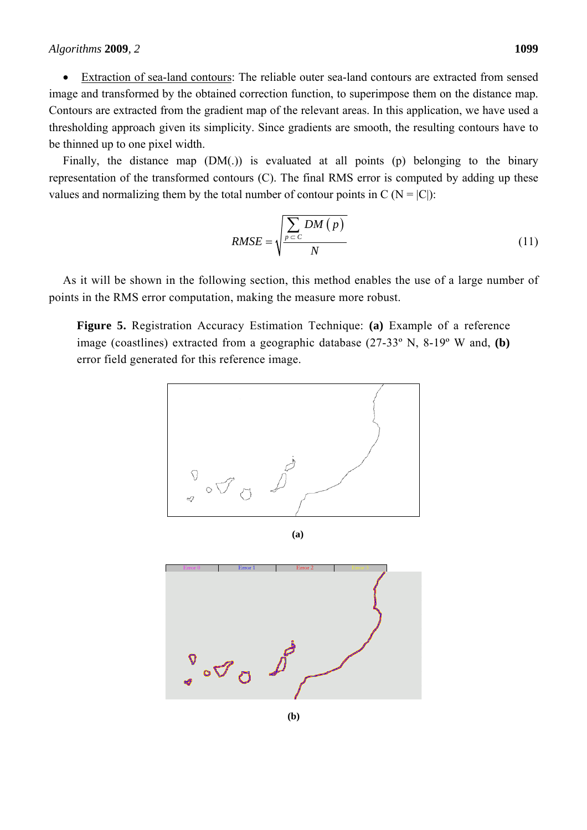• Extraction of sea-land contours: The reliable outer sea-land contours are extracted from sensed image and transformed by the obtained correction function, to superimpose them on the distance map. Contours are extracted from the gradient map of the relevant areas. In this application, we have used a thresholding approach given its simplicity. Since gradients are smooth, the resulting contours have to be thinned up to one pixel width.

Finally, the distance map (DM(.)) is evaluated at all points (p) belonging to the binary representation of the transformed contours (C). The final RMS error is computed by adding up these values and normalizing them by the total number of contour points in  $C (N = |C|)$ :

$$
RMSE = \sqrt{\frac{\sum_{p \subset C} DM(p)}{N}}
$$
 (11)

As it will be shown in the following section, this method enables the use of a large number of points in the RMS error computation, making the measure more robust.

**Figure 5.** Registration Accuracy Estimation Technique: **(a)** Example of a reference image (coastlines) extracted from a geographic database (27-33º N, 8-19º W and, **(b)** error field generated for this reference image.



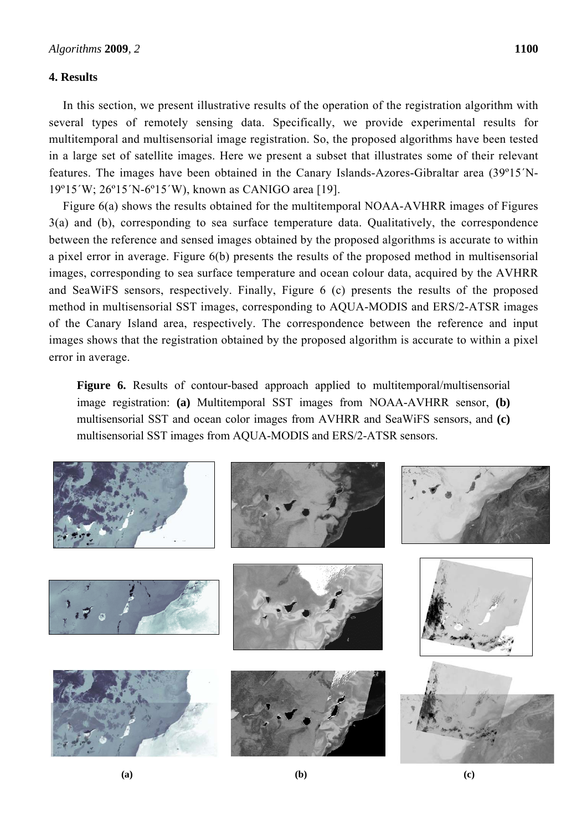#### **4. Results**

In this section, we present illustrative results of the operation of the registration algorithm with several types of remotely sensing data. Specifically, we provide experimental results for multitemporal and multisensorial image registration. So, the proposed algorithms have been tested in a large set of satellite images. Here we present a subset that illustrates some of their relevant features. The images have been obtained in the Canary Islands-Azores-Gibraltar area (39º15´N-19º15´W; 26º15´N-6º15´W), known as CANIGO area [19].

Figure 6(a) shows the results obtained for the multitemporal NOAA-AVHRR images of Figures 3(a) and (b), corresponding to sea surface temperature data. Qualitatively, the correspondence between the reference and sensed images obtained by the proposed algorithms is accurate to within a pixel error in average. Figure 6(b) presents the results of the proposed method in multisensorial images, corresponding to sea surface temperature and ocean colour data, acquired by the AVHRR and SeaWiFS sensors, respectively. Finally, Figure 6 (c) presents the results of the proposed method in multisensorial SST images, corresponding to AQUA-MODIS and ERS/2-ATSR images of the Canary Island area, respectively. The correspondence between the reference and input images shows that the registration obtained by the proposed algorithm is accurate to within a pixel error in average.

Figure 6. Results of contour-based approach applied to multitemporal/multisensorial image registration: **(a)** Multitemporal SST images from NOAA-AVHRR sensor, **(b)** multisensorial SST and ocean color images from AVHRR and SeaWiFS sensors, and **(c)** multisensorial SST images from AQUA-MODIS and ERS/2-ATSR sensors.

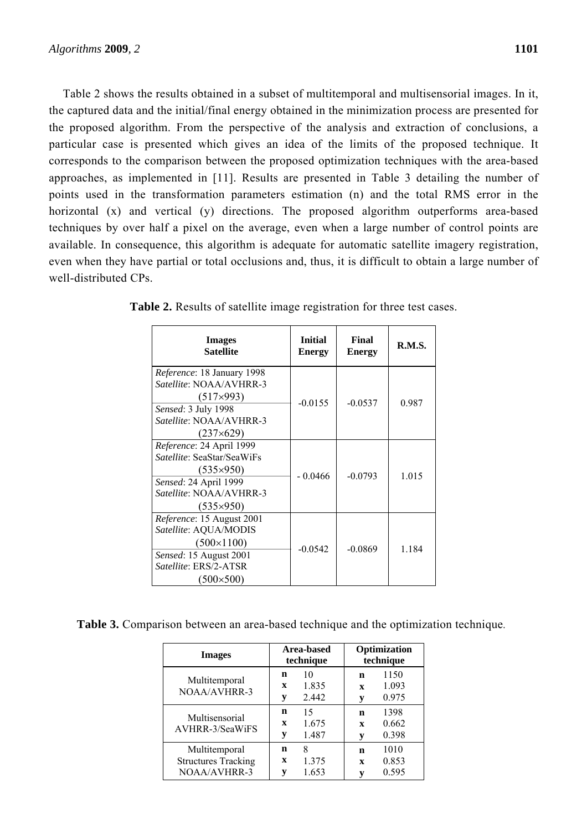Table 2 shows the results obtained in a subset of multitemporal and multisensorial images. In it, the captured data and the initial/final energy obtained in the minimization process are presented for the proposed algorithm. From the perspective of the analysis and extraction of conclusions, a particular case is presented which gives an idea of the limits of the proposed technique. It corresponds to the comparison between the proposed optimization techniques with the area-based approaches, as implemented in [11]. Results are presented in Table 3 detailing the number of points used in the transformation parameters estimation (n) and the total RMS error in the horizontal (x) and vertical (y) directions. The proposed algorithm outperforms area-based techniques by over half a pixel on the average, even when a large number of control points are available. In consequence, this algorithm is adequate for automatic satellite imagery registration, even when they have partial or total occlusions and, thus, it is difficult to obtain a large number of well-distributed CPs.

| <b>Images</b><br><b>Satellite</b>                                                                                                                         | <b>Initial</b><br><b>Energy</b> | Final<br><b>Energy</b> | <b>R.M.S.</b> |
|-----------------------------------------------------------------------------------------------------------------------------------------------------------|---------------------------------|------------------------|---------------|
| Reference: 18 January 1998<br>Satellite: NOAA/AVHRR-3<br>$(517\times993)$<br>Sensed: 3 July 1998<br>Satellite: NOAA/AVHRR-3<br>$(237\times629)$           | $-0.0155$                       | $-0.0537$              | 0.987         |
| Reference: 24 April 1999<br><i>Satellite:</i> SeaStar/SeaWiFs<br>$(535\times950)$<br>Sensed: 24 April 1999<br>Satellite: NOAA/AVHRR-3<br>$(535\times950)$ | - 0.0466                        | $-0.0793$              | 1.015         |
| Reference: 15 August 2001<br>Satellite: AQUA/MODIS<br>$(500 \times 1100)$<br>Sensed: 15 August 2001<br>Satellite: ERS/2-ATSR<br>$(500\times500)$          | $-0.0542$                       | $-0.0869$              | 1.184         |

**Table 2.** Results of satellite image registration for three test cases.

**Table 3.** Comparison between an area-based technique and the optimization technique.

| <b>Images</b>                                                      | Area-based<br>technique |                      | Optimization<br>technique |                        |
|--------------------------------------------------------------------|-------------------------|----------------------|---------------------------|------------------------|
| Multitemporal<br><b>NOAA/AVHRR-3</b>                               | n<br>$\mathbf x$<br>у   | 10<br>1.835<br>2.442 | n<br>$\mathbf{x}$<br>V    | 1150<br>1.093<br>0.975 |
| Multisensorial<br>AVHRR-3/SeaWiFS                                  | n<br>$\mathbf x$<br>у   | 15<br>1.675<br>1.487 | n<br>$\mathbf{x}$<br>V    | 1398<br>0.662<br>0.398 |
| Multitemporal<br><b>Structures Tracking</b><br><b>NOAA/AVHRR-3</b> | n<br>$\mathbf x$<br>V   | 8<br>1.375<br>1.653  | n<br>$\mathbf{x}$<br>v    | 1010<br>0.853<br>0.595 |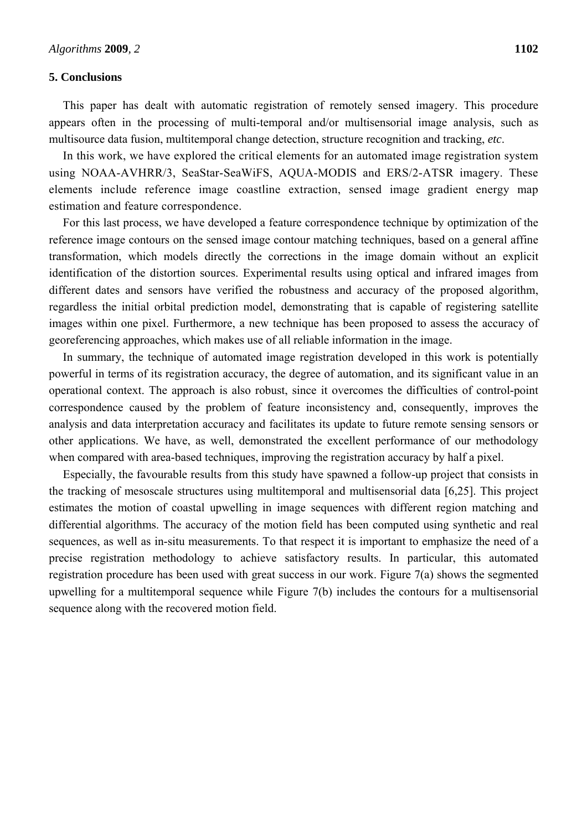#### **5. Conclusions**

This paper has dealt with automatic registration of remotely sensed imagery. This procedure appears often in the processing of multi-temporal and/or multisensorial image analysis, such as multisource data fusion, multitemporal change detection, structure recognition and tracking, *etc*.

In this work, we have explored the critical elements for an automated image registration system using NOAA-AVHRR/3, SeaStar-SeaWiFS, AQUA-MODIS and ERS/2-ATSR imagery. These elements include reference image coastline extraction, sensed image gradient energy map estimation and feature correspondence.

For this last process, we have developed a feature correspondence technique by optimization of the reference image contours on the sensed image contour matching techniques, based on a general affine transformation, which models directly the corrections in the image domain without an explicit identification of the distortion sources. Experimental results using optical and infrared images from different dates and sensors have verified the robustness and accuracy of the proposed algorithm, regardless the initial orbital prediction model, demonstrating that is capable of registering satellite images within one pixel. Furthermore, a new technique has been proposed to assess the accuracy of georeferencing approaches, which makes use of all reliable information in the image.

In summary, the technique of automated image registration developed in this work is potentially powerful in terms of its registration accuracy, the degree of automation, and its significant value in an operational context. The approach is also robust, since it overcomes the difficulties of control-point correspondence caused by the problem of feature inconsistency and, consequently, improves the analysis and data interpretation accuracy and facilitates its update to future remote sensing sensors or other applications. We have, as well, demonstrated the excellent performance of our methodology when compared with area-based techniques, improving the registration accuracy by half a pixel.

Especially, the favourable results from this study have spawned a follow-up project that consists in the tracking of mesoscale structures using multitemporal and multisensorial data [6,25]. This project estimates the motion of coastal upwelling in image sequences with different region matching and differential algorithms. The accuracy of the motion field has been computed using synthetic and real sequences, as well as in-situ measurements. To that respect it is important to emphasize the need of a precise registration methodology to achieve satisfactory results. In particular, this automated registration procedure has been used with great success in our work. Figure 7(a) shows the segmented upwelling for a multitemporal sequence while Figure 7(b) includes the contours for a multisensorial sequence along with the recovered motion field.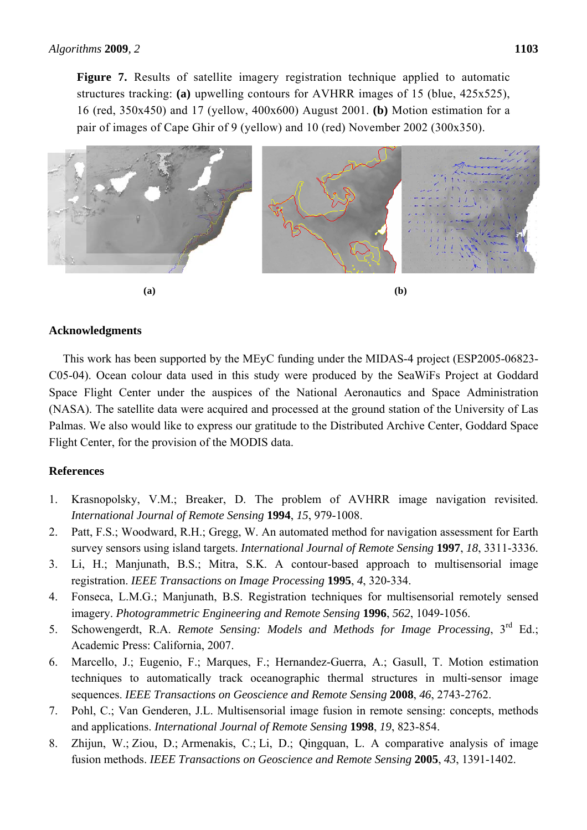**Figure 7.** Results of satellite imagery registration technique applied to automatic structures tracking: **(a)** upwelling contours for AVHRR images of 15 (blue, 425x525), 16 (red, 350x450) and 17 (yellow, 400x600) August 2001. **(b)** Motion estimation for a pair of images of Cape Ghir of 9 (yellow) and 10 (red) November 2002 (300x350).



### **Acknowledgments**

This work has been supported by the MEyC funding under the MIDAS-4 project (ESP2005-06823- C05-04). Ocean colour data used in this study were produced by the SeaWiFs Project at Goddard Space Flight Center under the auspices of the National Aeronautics and Space Administration (NASA). The satellite data were acquired and processed at the ground station of the University of Las Palmas. We also would like to express our gratitude to the Distributed Archive Center, Goddard Space Flight Center, for the provision of the MODIS data.

# **References**

- 1. Krasnopolsky, V.M.; Breaker, D. The problem of AVHRR image navigation revisited. *International Journal of Remote Sensing* **1994**, *15*, 979-1008.
- 2. Patt, F.S.; Woodward, R.H.; Gregg, W. An automated method for navigation assessment for Earth survey sensors using island targets. *International Journal of Remote Sensing* **1997**, *18*, 3311-3336.
- 3. Li, H.; Manjunath, B.S.; Mitra, S.K. A contour-based approach to multisensorial image registration. *IEEE Transactions on Image Processing* **1995**, *4*, 320-334.
- 4. Fonseca, L.M.G.; Manjunath, B.S. Registration techniques for multisensorial remotely sensed imagery. *Photogrammetric Engineering and Remote Sensing* **1996**, *562*, 1049-1056.
- 5. Schowengerdt, R.A. *Remote Sensing: Models and Methods for Image Processing*, 3rd Ed.; Academic Press: California, 2007.
- 6. Marcello, J.; Eugenio, F.; Marques, F.; Hernandez-Guerra, A.; Gasull, T. Motion estimation techniques to automatically track oceanographic thermal structures in multi-sensor image sequences. *IEEE Transactions on Geoscience and Remote Sensing* **2008**, *46*, 2743-2762.
- 7. Pohl, C.; Van Genderen, J.L. Multisensorial image fusion in remote sensing: concepts, methods and applications. *International Journal of Remote Sensing* **1998**, *19*, 823-854.
- 8. Zhijun, W.; Ziou, D.; Armenakis, C.; Li, D.; Qingquan, L. A comparative analysis of image fusion methods. *IEEE Transactions on Geoscience and Remote Sensing* **2005**, *43*, 1391-1402.